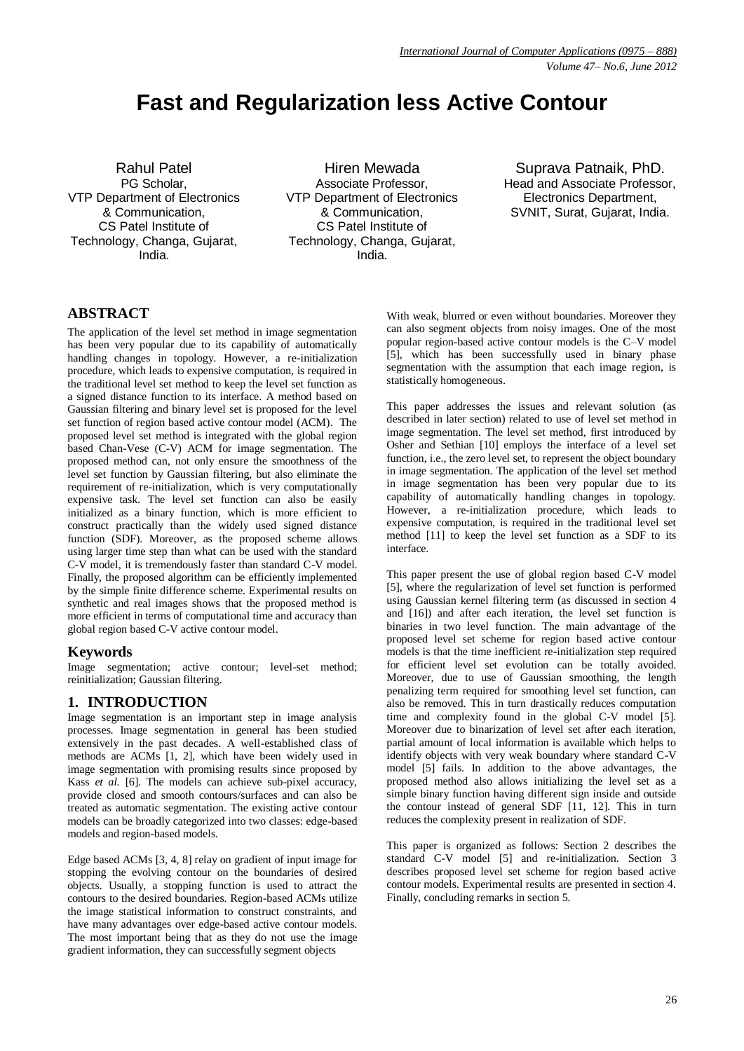# **Fast and Regularization less Active Contour**

Rahul Patel PG Scholar, VTP Department of Electronics & Communication, CS Patel Institute of Technology, Changa, Gujarat, India.

Hiren Mewada Associate Professor, VTP Department of Electronics & Communication, CS Patel Institute of Technology, Changa, Gujarat, India.

Suprava Patnaik, PhD. Head and Associate Professor, Electronics Department, SVNIT, Surat, Gujarat, India.

## **ABSTRACT**

The application of the level set method in image segmentation has been very popular due to its capability of automatically handling changes in topology. However, a re-initialization procedure, which leads to expensive computation, is required in the traditional level set method to keep the level set function as a signed distance function to its interface. A method based on Gaussian filtering and binary level set is proposed for the level set function of region based active contour model (ACM). The proposed level set method is integrated with the global region based Chan-Vese (C-V) ACM for image segmentation. The proposed method can, not only ensure the smoothness of the level set function by Gaussian filtering, but also eliminate the requirement of re-initialization, which is very computationally expensive task. The level set function can also be easily initialized as a binary function, which is more efficient to construct practically than the widely used signed distance function (SDF). Moreover, as the proposed scheme allows using larger time step than what can be used with the standard C-V model, it is tremendously faster than standard C-V model. Finally, the proposed algorithm can be efficiently implemented by the simple finite difference scheme. Experimental results on synthetic and real images shows that the proposed method is more efficient in terms of computational time and accuracy than global region based C-V active contour model.

## **Keywords**

Image segmentation; active contour; level-set method; reinitialization; Gaussian filtering.

## **1. INTRODUCTION**

Image segmentation is an important step in image analysis processes. Image segmentation in general has been studied extensively in the past decades. A well-established class of methods are ACMs [1, 2], which have been widely used in image segmentation with promising results since proposed by Kass *et al.* [6]. The models can achieve sub-pixel accuracy, provide closed and smooth contours/surfaces and can also be treated as automatic segmentation. The existing active contour models can be broadly categorized into two classes: edge-based models and region-based models.

Edge based ACMs [3, 4, 8] relay on gradient of input image for stopping the evolving contour on the boundaries of desired objects. Usually, a stopping function is used to attract the contours to the desired boundaries. Region-based ACMs utilize the image statistical information to construct constraints, and have many advantages over edge-based active contour models. The most important being that as they do not use the image gradient information, they can successfully segment objects

With weak, blurred or even without boundaries. Moreover they can also segment objects from noisy images. One of the most popular region-based active contour models is the C–V model [5], which has been successfully used in binary phase segmentation with the assumption that each image region, is statistically homogeneous.

This paper addresses the issues and relevant solution (as described in later section) related to use of level set method in image segmentation. The level set method, first introduced by Osher and Sethian [10] employs the interface of a level set function, i.e., the zero level set, to represent the object boundary in image segmentation. The application of the level set method in image segmentation has been very popular due to its capability of automatically handling changes in topology. However, a re-initialization procedure, which leads to expensive computation, is required in the traditional level set method [11] to keep the level set function as a SDF to its interface.

This paper present the use of global region based C-V model [5], where the regularization of level set function is performed using Gaussian kernel filtering term (as discussed in section 4 and [16]) and after each iteration, the level set function is binaries in two level function. The main advantage of the proposed level set scheme for region based active contour models is that the time inefficient re-initialization step required for efficient level set evolution can be totally avoided. Moreover, due to use of Gaussian smoothing, the length penalizing term required for smoothing level set function, can also be removed. This in turn drastically reduces computation time and complexity found in the global C-V model [5]. Moreover due to binarization of level set after each iteration, partial amount of local information is available which helps to identify objects with very weak boundary where standard C-V model [5] fails. In addition to the above advantages, the proposed method also allows initializing the level set as a simple binary function having different sign inside and outside the contour instead of general SDF [11, 12]. This in turn reduces the complexity present in realization of SDF.

This paper is organized as follows: Section 2 describes the standard C-V model [5] and re-initialization. Section 3 describes proposed level set scheme for region based active contour models. Experimental results are presented in section 4. Finally, concluding remarks in section 5.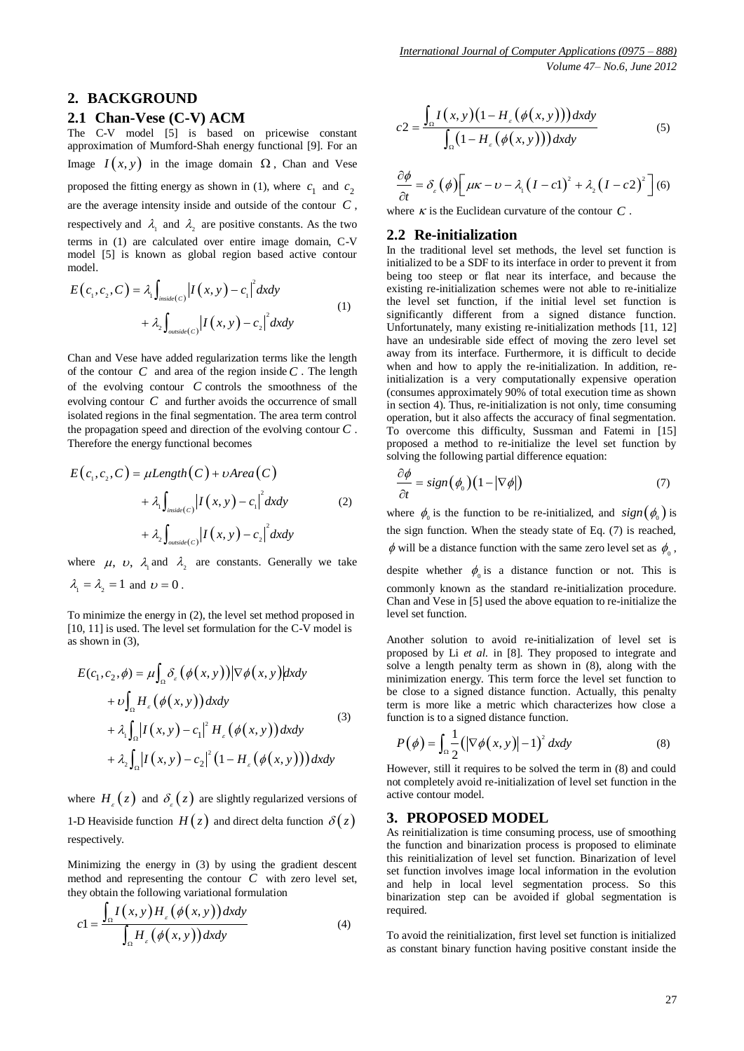## **2. BACKGROUND**

#### **2.1 Chan-Vese (C-V) ACM**

The C-V model [5] is based on pricewise constant approximation of Mumford-Shah energy functional [9]. For an Image  $I(x, y)$  in the image domain  $\Omega$ , Chan and Vese proposed the fitting energy as shown in (1), where  $c_1$  and  $c_2$ are the average intensity inside and outside of the contour *C* , respectively and  $\lambda_1$  and  $\lambda_2$  are positive constants. As the two terms in (1) are calculated over entire image domain, C-V model [5] is known as global region based active contour model.

$$
E(c_1, c_2, C) = \lambda_1 \int_{\text{inside}(C)} |I(x, y) - c_1|^2 dx dy
$$
  
+  $\lambda_2 \int_{\text{outside}(C)} |I(x, y) - c_2|^2 dx dy$  (1)

Chan and Vese have added regularization terms like the length of the contour  $C$  and area of the region inside  $C$ . The length of the evolving contour *C* controls the smoothness of the evolving contour  $C$  and further avoids the occurrence of small isolated regions in the final segmentation. The area term control the propagation speed and direction of the evolving contour *C* . Therefore the energy functional becomes

$$
E(c_1, c_2, C) = \mu Length(C) + \nu Area(C)
$$
  
+  $\lambda_1 \int_{inside(c)} |I(x, y) - c_1|^2 dxdy$  (2)  
+  $\lambda_2 \int_{outside(c)} |I(x, y) - c_2|^2 dxdy$ 

where  $\mu$ ,  $\upsilon$ ,  $\lambda$ <sub>1</sub> and  $\lambda$ <sub>2</sub> are constants. Generally we take  $\lambda_1 = \lambda_2 = 1$  and  $\upsilon = 0$ .

To minimize the energy in (2), the level set method proposed in [10, 11] is used. The level set formulation for the C-V model is as shown in (3),

$$
E(c_1, c_2, \phi) = \mu \int_{\Omega} \delta_{\varepsilon} (\phi(x, y)) |\nabla \phi(x, y)| dxdy
$$
  
+  $\nu \int_{\Omega} H_{\varepsilon} (\phi(x, y)) dxdy$   
+  $\lambda_1 \int_{\Omega} |I(x, y) - c_1|^2 H_{\varepsilon} (\phi(x, y)) dxdy$   
+  $\lambda_2 \int_{\Omega} |I(x, y) - c_2|^2 (1 - H_{\varepsilon} (\phi(x, y))) dxdy$  (3)

where  $H_{\varepsilon}(z)$  and  $\delta_{\varepsilon}(z)$  are slightly regularized versions of 1-D Heaviside function  $H(z)$  and direct delta function  $\delta(z)$ respectively.

Minimizing the energy in (3) by using the gradient descent method and representing the contour  $C$  with zero level set,

they obtain the following variational formulation  
\n
$$
c1 = \frac{\int_{\Omega} I(x, y) H_{\varepsilon}(\phi(x, y)) dx dy}{\int_{\Omega} H_{\varepsilon}(\phi(x, y)) dx dy}
$$
\n(4)

$$
c2 = \frac{\int_{\Omega} I(x, y) \left(1 - H_z(\phi(x, y))\right) dxdy}{\int_{\Omega} \left(1 - H_z(\phi(x, y))\right) dxdy}
$$
(5)

$$
\frac{\partial \phi}{\partial t} = \delta_{\varepsilon}(\phi) \left[ \mu \kappa - \upsilon - \lambda_{1} \left( I - c \mathbf{1} \right)^{2} + \lambda_{2} \left( I - c \mathbf{2} \right)^{2} \right] (6)
$$

where  $\kappa$  is the Euclidean curvature of the contour  $C$ .

#### **2.2 Re-initialization**

In the traditional level set methods, the level set function is initialized to be a SDF to its interface in order to prevent it from being too steep or flat near its interface, and because the existing re-initialization schemes were not able to re-initialize the level set function, if the initial level set function is significantly different from a signed distance function. Unfortunately, many existing re-initialization methods [11, 12] have an undesirable side effect of moving the zero level set away from its interface. Furthermore, it is difficult to decide when and how to apply the re-initialization. In addition, reinitialization is a very computationally expensive operation (consumes approximately 90% of total execution time as shown in section 4). Thus, re-initialization is not only, time consuming operation, but it also affects the accuracy of final segmentation. To overcome this difficulty, Sussman and Fatemi in [15] proposed a method to re-initialize the level set function by solving the following partial difference equation:

$$
\frac{\partial \phi}{\partial t} = sign(\phi_0)(1 - |\nabla \phi|) \tag{7}
$$

where  $\phi_0$  is the function to be re-initialized, and  $sign(\phi_0)$  is the sign function. When the steady state of Eq. (7) is reached,  $\phi$  will be a distance function with the same zero level set as  $\phi_0$ ,

despite whether  $\phi_0$  is a distance function or not. This is commonly known as the standard re-initialization procedure. Chan and Vese in [5] used the above equation to re-initialize the level set function.

Another solution to avoid re-initialization of level set is proposed by Li *et al.* in [8]. They proposed to integrate and solve a length penalty term as shown in (8), along with the minimization energy. This term force the level set function to be close to a signed distance function. Actually, this penalty term is more like a metric which characterizes how close a function is to a signed distance function.

$$
P(\phi) = \int_{\Omega} \frac{1}{2} (|\nabla \phi(x, y)| - 1)^2 dx dy
$$
 (8)

However, still it requires to be solved the term in (8) and could not completely avoid re-initialization of level set function in the active contour model.

#### **3. PROPOSED MODEL**

As reinitialization is time consuming process, use of smoothing the function and binarization process is proposed to eliminate this reinitialization of level set function. Binarization of level set function involves image local information in the evolution and help in local level segmentation process. So this binarization step can be avoided if global segmentation is required.

To avoid the reinitialization, first level set function is initialized as constant binary function having positive constant inside the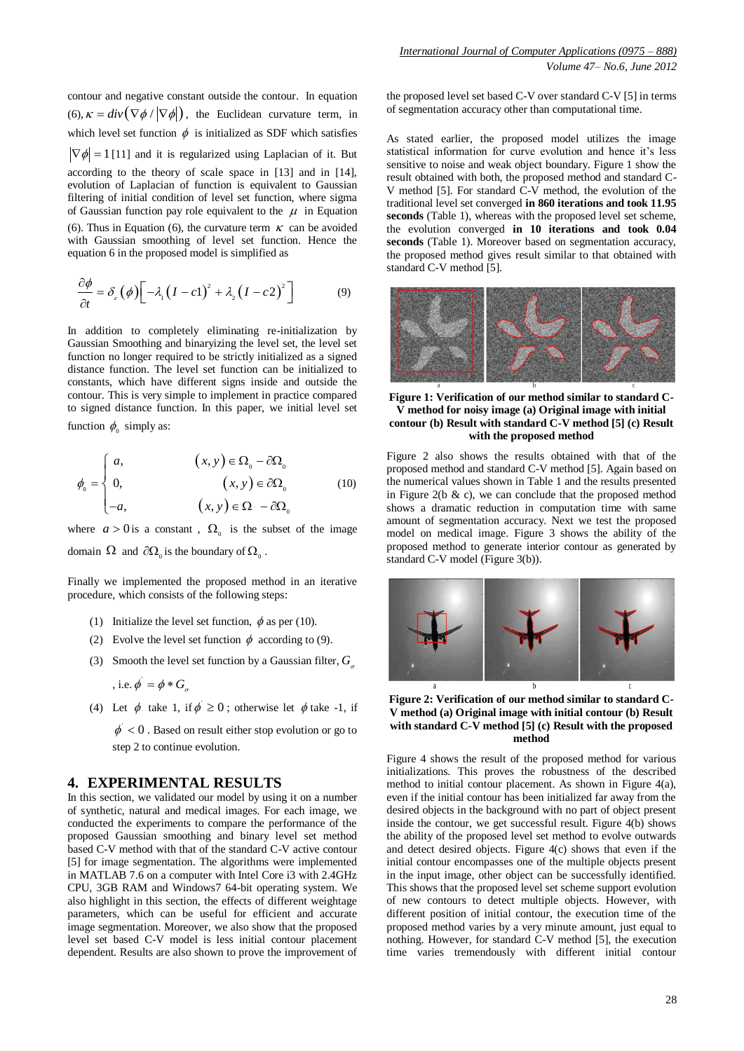contour and negative constant outside the contour. In equation (6),  $\kappa = div(\nabla \phi / |\nabla \phi|)$ , the Euclidean curvature term, in which level set function  $\phi$  is initialized as SDF which satisfies  $\nabla \phi$  = 1 [11] and it is regularized using Laplacian of it. But according to the theory of scale space in [13] and in [14], evolution of Laplacian of function is equivalent to Gaussian filtering of initial condition of level set function, where sigma of Gaussian function pay role equivalent to the  $\mu$  in Equation (6). Thus in Equation (6), the curvature term  $\kappa$  can be avoided with Gaussian smoothing of level set function. Hence the equation 6 in the proposed model is simplified as

$$
\frac{\partial \phi}{\partial t} = \delta_{\varepsilon} (\phi) \Big[ -\lambda_1 (I - c_1)^2 + \lambda_2 (I - c_2)^2 \Big] \tag{9}
$$

In addition to completely eliminating re-initialization by Gaussian Smoothing and binaryizing the level set, the level set function no longer required to be strictly initialized as a signed distance function. The level set function can be initialized to constants, which have different signs inside and outside the contour. This is very simple to implement in practice compared to signed distance function. In this paper, we initial level set function  $\phi_0$  simply as:

$$
\phi_0 = \begin{cases}\n a, & (x, y) \in \Omega_0 - \partial \Omega_0 \\
0, & (x, y) \in \partial \Omega_0 \\
-a, & (x, y) \in \Omega - \partial \Omega_0\n\end{cases}
$$
\n(10)

where  $a > 0$  is a constant,  $\Omega_0$  is the subset of the image domain  $\Omega$  and  $\partial\Omega_0$  is the boundary of  $\Omega_0$ .

Finally we implemented the proposed method in an iterative procedure, which consists of the following steps:

- (1) Initialize the level set function,  $\phi$  as per (10).
- (2) Evolve the level set function  $\phi$  according to (9).
- (3) Smooth the level set function by a Gaussian filter, *G*

, i.e. 
$$
\phi' = \phi * G_{\sigma}
$$

(4) Let  $\phi$  take 1, if  $\phi \ge 0$ ; otherwise let  $\phi$  take -1, if

 $\phi$  < 0. Based on result either stop evolution or go to step 2 to continue evolution.

#### **4. EXPERIMENTAL RESULTS**

In this section, we validated our model by using it on a number of synthetic, natural and medical images. For each image, we conducted the experiments to compare the performance of the proposed Gaussian smoothing and binary level set method based C-V method with that of the standard C-V active contour [5] for image segmentation. The algorithms were implemented in MATLAB 7.6 on a computer with Intel Core i3 with 2.4GHz CPU, 3GB RAM and Windows7 64-bit operating system. We also highlight in this section, the effects of different weightage parameters, which can be useful for efficient and accurate image segmentation. Moreover, we also show that the proposed level set based C-V model is less initial contour placement dependent. Results are also shown to prove the improvement of

the proposed level set based C-V over standard C-V [5] in terms of segmentation accuracy other than computational time.

As stated earlier, the proposed model utilizes the image statistical information for curve evolution and hence it's less sensitive to noise and weak object boundary. Figure 1 show the result obtained with both, the proposed method and standard C-V method [5]. For standard C-V method, the evolution of the traditional level set converged **in 860 iterations and took 11.95 seconds** (Table 1), whereas with the proposed level set scheme, the evolution converged **in 10 iterations and took 0.04 seconds** (Table 1). Moreover based on segmentation accuracy, the proposed method gives result similar to that obtained with standard C-V method [5].



**Figure 1: Verification of our method similar to standard C-V method for noisy image (a) Original image with initial contour (b) Result with standard C-V method [5] (c) Result with the proposed method**

Figure 2 also shows the results obtained with that of the proposed method and standard C-V method [5]. Again based on the numerical values shown in Table 1 and the results presented in Figure 2( $b \& c$ ), we can conclude that the proposed method shows a dramatic reduction in computation time with same amount of segmentation accuracy. Next we test the proposed model on medical image. Figure 3 shows the ability of the proposed method to generate interior contour as generated by standard C-V model (Figure 3(b)).



**Figure 2: Verification of our method similar to standard C-V method (a) Original image with initial contour (b) Result with standard C-V method [5] (c) Result with the proposed method**

Figure 4 shows the result of the proposed method for various initializations. This proves the robustness of the described method to initial contour placement. As shown in Figure 4(a), even if the initial contour has been initialized far away from the desired objects in the background with no part of object present inside the contour, we get successful result. Figure 4(b) shows the ability of the proposed level set method to evolve outwards and detect desired objects. Figure 4(c) shows that even if the initial contour encompasses one of the multiple objects present in the input image, other object can be successfully identified. This shows that the proposed level set scheme support evolution of new contours to detect multiple objects. However, with different position of initial contour, the execution time of the proposed method varies by a very minute amount, just equal to nothing. However, for standard C-V method [5], the execution time varies tremendously with different initial contour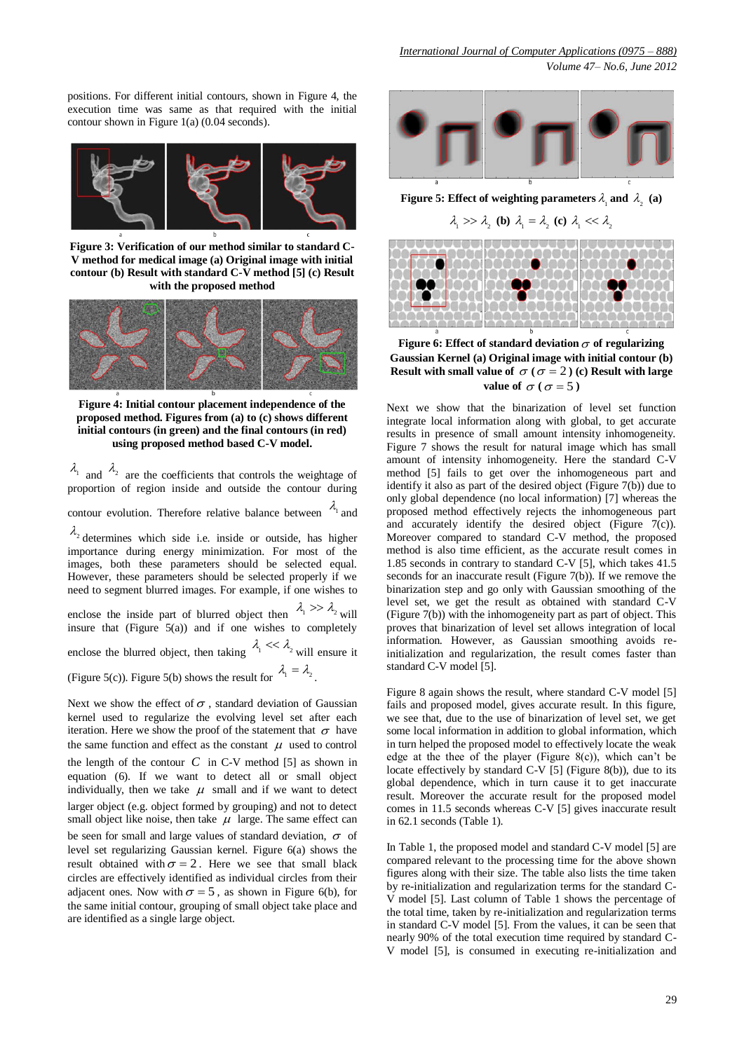positions. For different initial contours, shown in Figure 4, the execution time was same as that required with the initial contour shown in Figure 1(a) (0.04 seconds).



**Figure 3: Verification of our method similar to standard C-V method for medical image (a) Original image with initial contour (b) Result with standard C-V method [5] (c) Result with the proposed method**



**Figure 4: Initial contour placement independence of the proposed method. Figures from (a) to (c) shows different initial contours (in green) and the final contours (in red) using proposed method based C-V model.**

 $\lambda_1$  and  $\lambda_2$  are the coefficients that controls the weightage of proportion of region inside and outside the contour during contour evolution. Therefore relative balance between  $\lambda_1$  and  $\lambda_2$  determines which side i.e. inside or outside, has higher importance during energy minimization. For most of the images, both these parameters should be selected equal. However, these parameters should be selected properly if we need to segment blurred images. For example, if one wishes to enclose the inside part of blurred object then  $\lambda_1 > \lambda_2$  will

insure that  $(Figure 5(a))$  and if one wishes to completely enclose the blurred object, then taking  $\lambda_1 \ll \lambda_2$  will ensure it (Figure 5(c)). Figure 5(b) shows the result for  $\lambda_1 = \lambda_2$ .

Next we show the effect of  $\sigma$ , standard deviation of Gaussian kernel used to regularize the evolving level set after each iteration. Here we show the proof of the statement that  $\sigma$  have the same function and effect as the constant  $\mu$  used to control the length of the contour  $C$  in C-V method [5] as shown in equation (6). If we want to detect all or small object individually, then we take  $\mu$  small and if we want to detect larger object (e.g. object formed by grouping) and not to detect small object like noise, then take  $\mu$  large. The same effect can be seen for small and large values of standard deviation,  $\sigma$  of level set regularizing Gaussian kernel. Figure 6(a) shows the result obtained with  $\sigma = 2$ . Here we see that small black circles are effectively identified as individual circles from their adjacent ones. Now with  $\sigma = 5$ , as shown in Figure 6(b), for the same initial contour, grouping of small object take place and are identified as a single large object.



**Figure 5:** Effect of weighting parameters  $\lambda_1$  and  $\lambda_2$  (a)

 $\lambda_1$  >>  $\lambda_2$  (**b**)  $\lambda_1 = \lambda_2$  (**c**)  $\lambda_1 \ll \lambda_2$ 



Figure 6: Effect of standard deviation  $\sigma$  of regularizing **Gaussian Kernel (a) Original image with initial contour (b) Result with small value of**  $\sigma$  **(** $\sigma$  **= 2) (c) Result with large value of**  $\sigma$  ( $\sigma$  = 5)

Next we show that the binarization of level set function integrate local information along with global, to get accurate results in presence of small amount intensity inhomogeneity. Figure 7 shows the result for natural image which has small amount of intensity inhomogeneity. Here the standard C-V method [5] fails to get over the inhomogeneous part and identify it also as part of the desired object (Figure  $7(b)$ ) due to only global dependence (no local information) [7] whereas the proposed method effectively rejects the inhomogeneous part and accurately identify the desired object (Figure 7(c)). Moreover compared to standard C-V method, the proposed method is also time efficient, as the accurate result comes in 1.85 seconds in contrary to standard C-V [5], which takes 41.5 seconds for an inaccurate result (Figure 7(b)). If we remove the binarization step and go only with Gaussian smoothing of the level set, we get the result as obtained with standard C-V (Figure 7(b)) with the inhomogeneity part as part of object. This proves that binarization of level set allows integration of local information. However, as Gaussian smoothing avoids reinitialization and regularization, the result comes faster than standard C-V model [5].

Figure 8 again shows the result, where standard C-V model [5] fails and proposed model, gives accurate result. In this figure, we see that, due to the use of binarization of level set, we get some local information in addition to global information, which in turn helped the proposed model to effectively locate the weak edge at the thee of the player (Figure 8(c)), which can't be locate effectively by standard C-V [5] (Figure 8(b)), due to its global dependence, which in turn cause it to get inaccurate result. Moreover the accurate result for the proposed model comes in 11.5 seconds whereas C-V [5] gives inaccurate result in 62.1 seconds (Table 1).

In Table 1, the proposed model and standard C-V model [5] are compared relevant to the processing time for the above shown figures along with their size. The table also lists the time taken by re-initialization and regularization terms for the standard C-V model [5]. Last column of Table 1 shows the percentage of the total time, taken by re-initialization and regularization terms in standard C-V model [5]. From the values, it can be seen that nearly 90% of the total execution time required by standard C-V model [5], is consumed in executing re-initialization and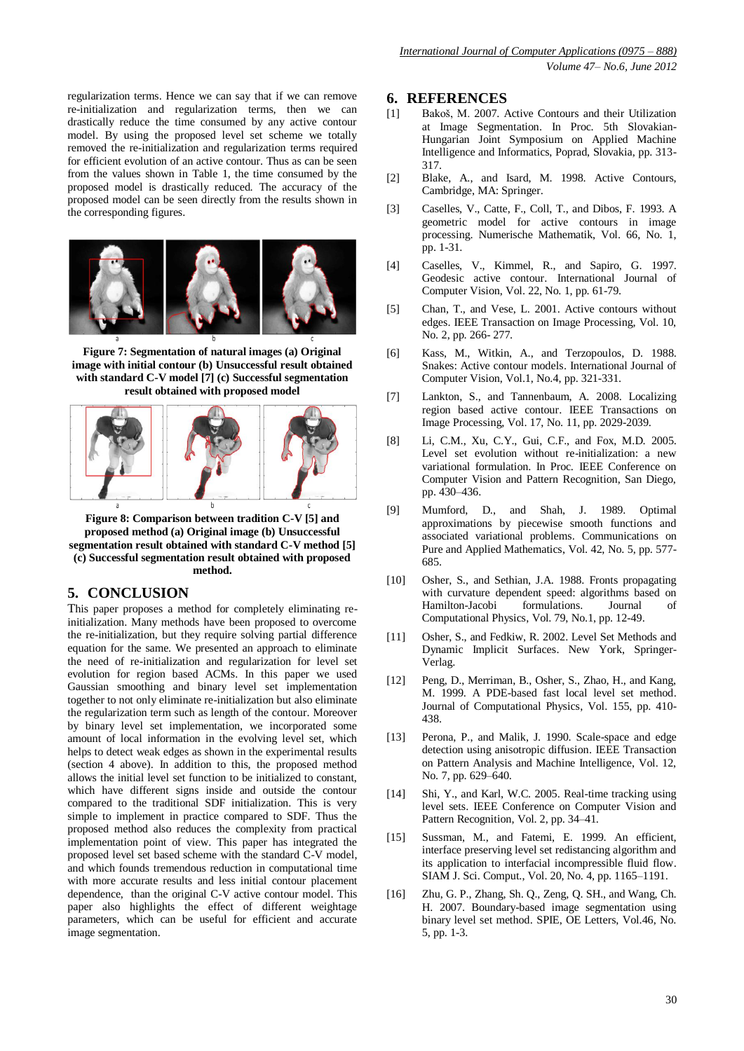regularization terms. Hence we can say that if we can remove re-initialization and regularization terms, then we can drastically reduce the time consumed by any active contour model. By using the proposed level set scheme we totally removed the re-initialization and regularization terms required for efficient evolution of an active contour. Thus as can be seen from the values shown in Table 1, the time consumed by the proposed model is drastically reduced. The accuracy of the proposed model can be seen directly from the results shown in the corresponding figures.



**Figure 7: Segmentation of natural images (a) Original image with initial contour (b) Unsuccessful result obtained with standard C-V model [7] (c) Successful segmentation result obtained with proposed model**



**Figure 8: Comparison between tradition C-V [5] and proposed method (a) Original image (b) Unsuccessful segmentation result obtained with standard C-V method [5] (c) Successful segmentation result obtained with proposed method.**

## **5. CONCLUSION**

This paper proposes a method for completely eliminating reinitialization. Many methods have been proposed to overcome the re-initialization, but they require solving partial difference equation for the same. We presented an approach to eliminate the need of re-initialization and regularization for level set evolution for region based ACMs. In this paper we used Gaussian smoothing and binary level set implementation together to not only eliminate re-initialization but also eliminate the regularization term such as length of the contour. Moreover by binary level set implementation, we incorporated some amount of local information in the evolving level set, which helps to detect weak edges as shown in the experimental results (section 4 above). In addition to this, the proposed method allows the initial level set function to be initialized to constant, which have different signs inside and outside the contour compared to the traditional SDF initialization. This is very simple to implement in practice compared to SDF. Thus the proposed method also reduces the complexity from practical implementation point of view. This paper has integrated the proposed level set based scheme with the standard C-V model, and which founds tremendous reduction in computational time with more accurate results and less initial contour placement dependence, than the original C-V active contour model. This paper also highlights the effect of different weightage parameters, which can be useful for efficient and accurate image segmentation.

### **6. REFERENCES**

- [1] Bakoš, M. 2007. Active Contours and their Utilization at Image Segmentation. In Proc. 5th Slovakian-Hungarian Joint Symposium on Applied Machine Intelligence and Informatics, Poprad, Slovakia, pp. 313- 317.
- [2] Blake, A., and Isard, M. 1998. Active Contours, Cambridge, MA: Springer.
- [3] Caselles, V., Catte, F., Coll, T., and Dibos, F. 1993. A geometric model for active contours in image processing. Numerische Mathematik, Vol. 66, No. 1, pp. 1-31.
- [4] Caselles, V., Kimmel, R., and Sapiro, G. 1997. Geodesic active contour. International Journal of Computer Vision, Vol. 22, No. 1, pp. 61-79.
- [5] Chan, T., and Vese, L. 2001. Active contours without edges. IEEE Transaction on Image Processing, Vol. 10, No. 2, pp. 266- 277.
- [6] Kass, M., Witkin, A., and Terzopoulos, D. 1988. Snakes: Active contour models. International Journal of Computer Vision, Vol.1, No.4, pp. 321-331.
- [7] Lankton, S., and Tannenbaum, A. 2008. Localizing region based active contour. IEEE Transactions on Image Processing, Vol. 17, No. 11, pp. 2029-2039.
- [8] Li, C.M., Xu, C.Y., Gui, C.F., and Fox, M.D. 2005. Level set evolution without re-initialization: a new variational formulation. In Proc. IEEE Conference on Computer Vision and Pattern Recognition, San Diego, pp. 430–436.
- [9] Mumford, D., and Shah, J. 1989. Optimal approximations by piecewise smooth functions and associated variational problems. Communications on Pure and Applied Mathematics, Vol. 42, No. 5, pp. 577- 685.
- [10] Osher, S., and Sethian, J.A. 1988. Fronts propagating with curvature dependent speed: algorithms based on Hamilton-Jacobi formulations. Journal Computational Physics, Vol. 79, No.1, pp. 12-49.
- [11] Osher, S., and Fedkiw, R. 2002. Level Set Methods and Dynamic Implicit Surfaces. New York, Springer-Verlag.
- [12] Peng, D., Merriman, B., Osher, S., Zhao, H., and Kang, M. 1999. A PDE-based fast local level set method. Journal of Computational Physics, Vol. 155, pp. 410- 438.
- [13] Perona, P., and Malik, J. 1990. Scale-space and edge detection using anisotropic diffusion. IEEE Transaction on Pattern Analysis and Machine Intelligence, Vol. 12, No. 7, pp. 629–640.
- [14] Shi, Y., and Karl, W.C. 2005. Real-time tracking using level sets. IEEE Conference on Computer Vision and Pattern Recognition, Vol. 2, pp. 34–41.
- [15] Sussman, M., and Fatemi, E. 1999. An efficient, interface preserving level set redistancing algorithm and its application to interfacial incompressible fluid flow. SIAM J. Sci. Comput., Vol. 20, No. 4, pp. 1165–1191.
- [16] Zhu, G. P., Zhang, Sh. Q., Zeng, Q. SH., and Wang, Ch. H. 2007. Boundary-based image segmentation using binary level set method. SPIE, OE Letters, Vol.46, No. 5, pp. 1-3.